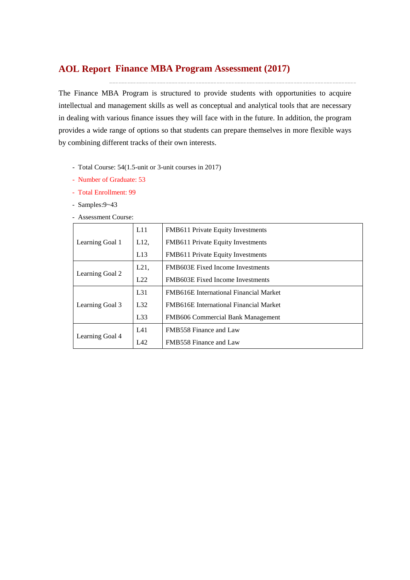# **Finance MBA Program Assessment (2017) AOL Report**

The Finance MBA Program is structured to provide students with opportunities to acquire intellectual and management skills as well as conceptual and analytical tools that are necessary in dealing with various finance issues they will face with in the future. In addition, the program provides a wide range of options so that students can prepare themselves in more flexible ways by combining different tracks of their own interests.

- Total Course: 54(1.5-unit or 3-unit courses in 2017)
- Number of Graduate: 53
- Total Enrollment: 99
- Samples:9~43
- Assessment Course:

|                 | L11      | FMB611 Private Equity Investments             |
|-----------------|----------|-----------------------------------------------|
| Learning Goal 1 | L12,     | FMB611 Private Equity Investments             |
|                 | L13      | FMB611 Private Equity Investments             |
|                 | L21,     | FMB603E Fixed Income Investments              |
| Learning Goal 2 | L22      | FMB603E Fixed Income Investments              |
|                 | $L_{31}$ | FMB616E International Financial Market        |
| Learning Goal 3 | L32      | <b>FMB616E</b> International Financial Market |
|                 | L33      | FMB606 Commercial Bank Management             |
|                 | L41      | FMB558 Finance and Law                        |
| Learning Goal 4 | LA2      | FMB558 Finance and Law                        |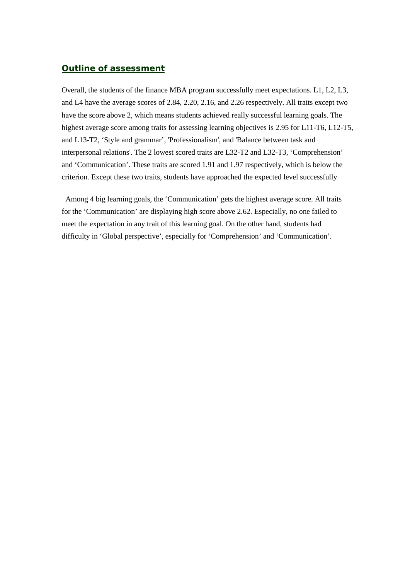### *Outline of assessment*

Overall, the students of the finance MBA program successfully meet expectations. L1, L2, L3, and L4 have the average scores of 2.84, 2.20, 2.16, and 2.26 respectively. All traits except two have the score above 2, which means students achieved really successful learning goals. The highest average score among traits for assessing learning objectives is 2.95 for L11-T6, L12-T5, and L13-T2, 'Style and grammar', 'Professionalism', and 'Balance between task and interpersonal relations'. The 2 lowest scored traits are L32-T2 and L32-T3, 'Comprehension' and 'Communication'. These traits are scored 1.91 and 1.97 respectively, which is below the criterion. Except these two traits, students have approached the expected level successfully

Among 4 big learning goals, the 'Communication' gets the highest average score. All traits for the 'Communication' are displaying high score above 2.62. Especially, no one failed to meet the expectation in any trait of this learning goal. On the other hand, students had difficulty in 'Global perspective', especially for 'Comprehension' and 'Communication'.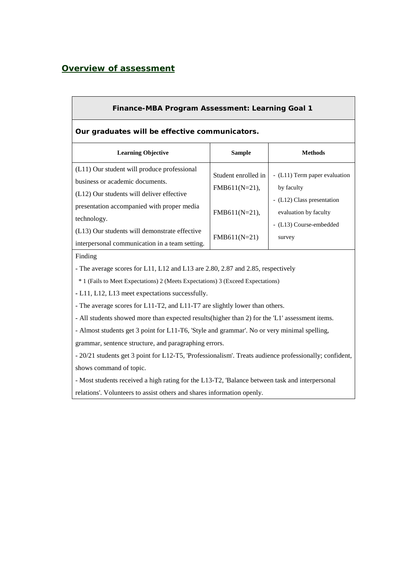## *Overview of assessment*

| <b>Finance-MBA Program Assessment: Learning Goal 1</b>                                                                                                                                                                                                                                      |                                                                         |                                                                                                                                         |  |  |  |  |  |  |  |  |
|---------------------------------------------------------------------------------------------------------------------------------------------------------------------------------------------------------------------------------------------------------------------------------------------|-------------------------------------------------------------------------|-----------------------------------------------------------------------------------------------------------------------------------------|--|--|--|--|--|--|--|--|
| Our graduates will be effective communicators.                                                                                                                                                                                                                                              |                                                                         |                                                                                                                                         |  |  |  |  |  |  |  |  |
| <b>Learning Objective</b>                                                                                                                                                                                                                                                                   | <b>Sample</b>                                                           | <b>Methods</b>                                                                                                                          |  |  |  |  |  |  |  |  |
| (L11) Our student will produce professional<br>business or academic documents.<br>(L12) Our students will deliver effective<br>presentation accompanied with proper media<br>technology.<br>(L13) Our students will demonstrate effective<br>interpersonal communication in a team setting. | Student enrolled in<br>FMB611(N=21),<br>FMB611(N=21),<br>$FMB611(N=21)$ | - (L11) Term paper evaluation<br>by faculty<br>- (L12) Class presentation<br>evaluation by faculty<br>- (L13) Course-embedded<br>survey |  |  |  |  |  |  |  |  |
| Finding<br>- The average scores for L11, L12 and L13 are 2.80, 2.87 and 2.85, respectively                                                                                                                                                                                                  |                                                                         |                                                                                                                                         |  |  |  |  |  |  |  |  |

\* 1 (Fails to Meet Expectations) 2 (Meets Expectations) 3 (Exceed Expectations)

**-** L11, L12, L13 meet expectations successfully.

- The average scores for L11-T2, and L11-T7 are slightly lower than others.

- All students showed more than expected results(higher than 2) for the 'L1' assessment items.

- Almost students get 3 point for L11-T6, 'Style and grammar'. No or very minimal spelling,

grammar, sentence structure, and paragraphing errors.

- 20/21 students get 3 point for L12-T5, 'Professionalism'. Treats audience professionally; confident, shows command of topic.

- Most students received a high rating for the L13-T2, 'Balance between task and interpersonal

relations'. Volunteers to assist others and shares information openly.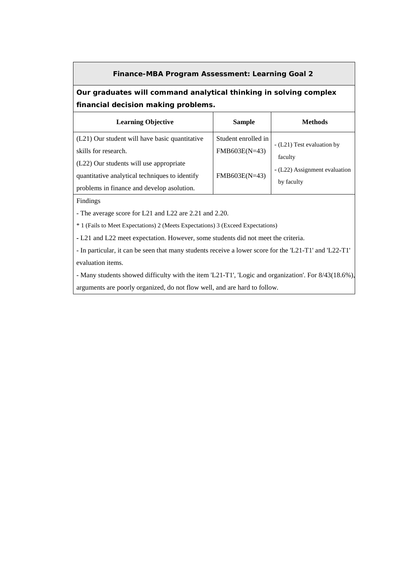### **Finance-MBA Program Assessment: Learning Goal 2**

## **Our graduates will command analytical thinking in solving complex financial decision making problems.**

| <b>Learning Objective</b>                      | <b>Sample</b>       | Methods                               |
|------------------------------------------------|---------------------|---------------------------------------|
| (L21) Our student will have basic quantitative | Student enrolled in |                                       |
| skills for research.                           | FMB603E(N=43)       | - (L21) Test evaluation by<br>faculty |
| (L22) Our students will use appropriate        |                     |                                       |
| quantitative analytical techniques to identify | FMB603E(N=43)       | - (L22) Assignment evaluation         |
| problems in finance and develop asolution.     |                     | by faculty                            |

Findings

- The average score for L21 and L22 are 2.21 and 2.20.

\* 1 (Fails to Meet Expectations) 2 (Meets Expectations) 3 (Exceed Expectations)

**-** L21 and L22 meet expectation. However, some students did not meet the criteria.

- In particular, it can be seen that many students receive a lower score for the 'L21-T1' and 'L22-T1' evaluation items.

- Many students showed difficulty with the item 'L21-T1', 'Logic and organization'. For 8/43(18.6%), arguments are poorly organized, do not flow well, and are hard to follow.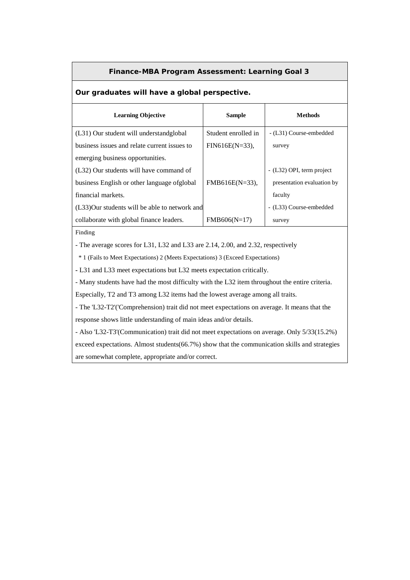#### **Finance-MBA Program Assessment: Learning Goal 3**

#### **Our graduates will have a global perspective.**

| <b>Learning Objective</b>                      | <b>Sample</b>       | <b>Methods</b>             |
|------------------------------------------------|---------------------|----------------------------|
| (L31) Our student will understand global       | Student enrolled in | - (L31) Course-embedded    |
| business issues and relate current issues to   | $FIN616E(N=33)$ ,   | survey                     |
| emerging business opportunities.               |                     |                            |
| (L32) Our students will have command of        |                     | - (L32) OPI, term project  |
| business English or other language of global   | $FMB616E(N=33)$ ,   | presentation evaluation by |
| financial markets.                             |                     | faculty                    |
| (L33) Our students will be able to network and |                     | - (L33) Course-embedded    |
| collaborate with global finance leaders.       | $FMB606(N=17)$      | survey                     |

Finding

- The average scores for L31, L32 and L33 are 2.14, 2.00, and 2.32, respectively

\* 1 (Fails to Meet Expectations) 2 (Meets Expectations) 3 (Exceed Expectations)

**-** L31 and L33 meet expectations but L32 meets expectation critically.

- Many students have had the most difficulty with the L32 item throughout the entire criteria.

Especially, T2 and T3 among L32 items had the lowest average among all traits.

- The 'L32-T2'('Comprehension) trait did not meet expectations on average. It means that the response shows little understanding of main ideas and/or details.

- Also 'L32-T3'(Communication) trait did not meet expectations on average. Only 5/33(15.2%)

exceed expectations. Almost students(66.7%) show that the communication skills and strategies are somewhat complete, appropriate and/or correct.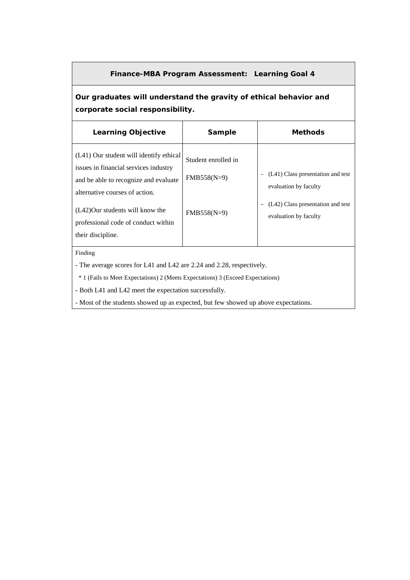#### **Finance-MBA Program Assessment: Learning Goal 4**

# **Our graduates will understand the gravity of ethical behavior and corporate social responsibility.**

| <b>Learning Objective</b>                                                                                                                                                                                                                                     | <b>Sample</b>                                         | <b>Methods</b>                                                                                                           |
|---------------------------------------------------------------------------------------------------------------------------------------------------------------------------------------------------------------------------------------------------------------|-------------------------------------------------------|--------------------------------------------------------------------------------------------------------------------------|
| (L41) Our student will identify ethical<br>issues in financial services industry<br>and be able to recognize and evaluate<br>alternative courses of action.<br>$(L42)$ Our students will know the<br>professional code of conduct within<br>their discipline. | Student enrolled in<br>$FMB558(N=9)$<br>$FMB558(N=9)$ | (L41) Class presentation and test<br>evaluation by faculty<br>(L42) Class presentation and test<br>evaluation by faculty |
| Finding                                                                                                                                                                                                                                                       |                                                       |                                                                                                                          |

- The average scores for L41 and L42 are 2.24 and 2.28, respectively.

\* 1 (Fails to Meet Expectations) 2 (Meets Expectations) 3 (Exceed Expectations)

**-** Both L41 and L42 meet the expectation successfully.

- Most of the students showed up as expected, but few showed up above expectations.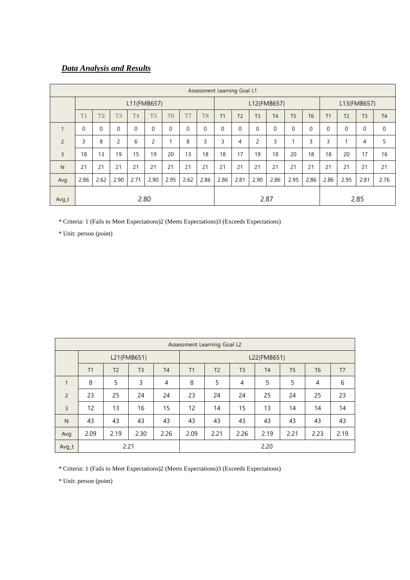## *Data Analysis and Results*

|                | Assessment Learning Goal L1 |                |          |                |                |                |                |                |          |                |                |                |           |                |                |                |                |                |
|----------------|-----------------------------|----------------|----------|----------------|----------------|----------------|----------------|----------------|----------|----------------|----------------|----------------|-----------|----------------|----------------|----------------|----------------|----------------|
|                | L11(FMB657)                 |                |          |                |                |                | L12(FMB657)    |                |          |                | L13(FMB657)    |                |           |                |                |                |                |                |
|                | T1                          | T <sub>2</sub> | T3       | T <sub>4</sub> | T <sub>5</sub> | T <sub>6</sub> | T <sub>7</sub> | T <sub>8</sub> | T1       | T <sub>2</sub> | T <sub>3</sub> | T <sub>4</sub> | <b>T5</b> | T <sub>6</sub> | T <sub>1</sub> | T <sub>2</sub> | T <sub>3</sub> | T <sub>4</sub> |
|                | $\Omega$                    | $\Omega$       | $\Omega$ | $\Omega$       | $\mathbf 0$    | $\mathbf 0$    | 0              | $\Omega$       | $\Omega$ | $\Omega$       | 0              | $\Omega$       | $\Omega$  | $\mathbf 0$    | $\mathbf 0$    | $\mathbf 0$    | $\mathbf{0}$   | $\mathbf{0}$   |
| $\overline{2}$ | 3                           | 8              | 2        | 6              | 2              | 1              | 8              | 3              | 3        | 4              | 2              | 3              | 4         | 3              | 3              | 1              | 4              | 5              |
| 3              | 18                          | 13             | 19       | 15             | 19             | 20             | 13             | 18             | 18       | 17             | 19             | 18             | 20        | 18             | 18             | 20             | 17             | 16             |
| N              | 21                          | 21             | 21       | 21             | 21             | 21             | 21             | 21             | 21       | 21             | 21             | 21             | 21        | 21             | 21             | 21             | 21             | 21             |
| Avg            | 2.86                        | 2.62           | 2.90     | 2.71           | 2.90           | 2.95           | 2.62           | 2.86           | 2.86     | 2.81           | 2.90           | 2.86           | 2.95      | 2.86           | 2.86           | 2.95           | 2.81           | 2.76           |
| Avg_t          | 2.80                        |                |          |                |                |                |                |                |          | 2.87           |                |                |           |                | 2.85           |                |                |                |

\* Criteria: 1 (Fails to Meet Expectations)2 (Meets Expectations)3 (Exceeds Expectations)

\* Unit: person (point)

|                | Assessment Learning Goal L2                                                                                    |      |      |      |      |             |                |           |                |                |                |  |  |
|----------------|----------------------------------------------------------------------------------------------------------------|------|------|------|------|-------------|----------------|-----------|----------------|----------------|----------------|--|--|
|                | L21(FMB651)                                                                                                    |      |      |      |      | L22(FMB651) |                |           |                |                |                |  |  |
|                | T <sub>2</sub><br>T <sub>3</sub><br>T <sub>1</sub><br>T <sub>4</sub><br>T <sub>2</sub><br>T <sub>3</sub><br>T1 |      |      |      |      |             |                | <b>T4</b> | T <sub>5</sub> | T <sub>6</sub> | T <sub>7</sub> |  |  |
| 1              | 8                                                                                                              | 5    | 3    | 4    | 8    | 5           | $\overline{4}$ | 5         | 5              | $\overline{4}$ | 6              |  |  |
| $\overline{2}$ | 23                                                                                                             | 25   | 24   | 24   | 23   | 24          | 24             | 25        | 24             | 25             | 23             |  |  |
| $\overline{3}$ | 12                                                                                                             | 13   | 16   | 15   | 12   | 14          | 15             | 13        | 14             | 14             | 14             |  |  |
| N              | 43                                                                                                             | 43   | 43   | 43   | 43   | 43          | 43             | 43        | 43             | 43             | 43             |  |  |
| Avg            | 2.09                                                                                                           | 2.19 | 2.30 | 2.26 | 2.09 | 2.21        | 2.26           | 2.19      | 2.21           | 2.23           | 2.19           |  |  |
| Avg_t          | 2.21                                                                                                           |      |      |      |      |             |                | 2.20      |                |                |                |  |  |

\* Criteria: 1 (Fails to Meet Expectations)2 (Meets Expectations)3 (Exceeds Expectations)

\* Unit: person (point)